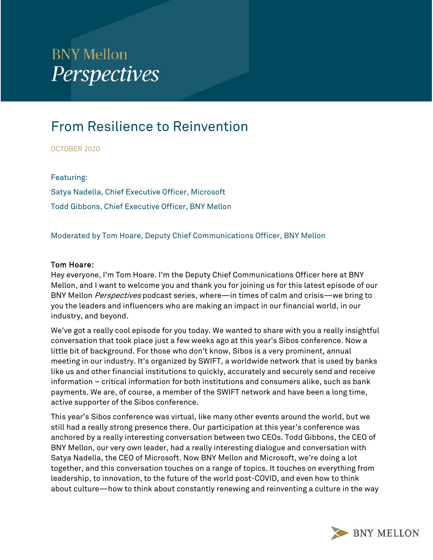# **BNY Mellon Perspectives**

# From Resilience to Reinvention

OCTOBER 2020

Featuring: Satya Nadella, Chief Executive Officer, Microsoft Todd Gibbons, Chief Executive Officer, BNY Mellon

Moderated by Tom Hoare, Deputy Chief Communications Officer, BNY Mellon

#### Tom Hoare:

Hey everyone, I'm Tom Hoare. I'm the Deputy Chief Communications Officer here at BNY Mellon, and I want to welcome you and thank you for joining us for this latest episode of our BNY Mellon *Perspectives* podcast series, where—in times of calm and crisis—we bring to you the leaders and influencers who are making an impact in our financial world, in our industry, and beyond.

 We've got a really cool episode for you today. We wanted to share with you a really insightful conversation that took place just a few weeks ago at this year's Sibos conference. Now a little bit of background. For those who don't know, Sibos is a very prominent, annual meeting in our industry. It's organized by SWIFT, a worldwide network that is used by banks like us and other financial institutions to quickly, accurately and securely send and receive information – critical information for both institutions and consumers alike, such as bank payments. We are, of course, a member of the SWIFT network and have been a long time, active supporter of the Sibos conference.

 still had a really strong presence there. Our participation at this year's conference was This year's Sibos conference was virtual, like many other events around the world, but we anchored by a really interesting conversation between two CEOs. Todd Gibbons, the CEO of BNY Mellon, our very own leader, had a really interesting dialogue and conversation with Satya Nadella, the CEO of Microsoft. Now BNY Mellon and Microsoft, we're doing a lot together, and this conversation touches on a range of topics. It touches on everything from leadership, to innovation, to the future of the world post-COVID, and even how to think about culture—how to think about constantly renewing and reinventing a culture in the way

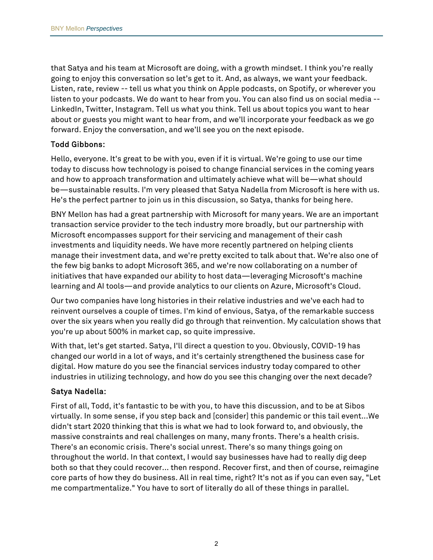about or guests you might want to hear from, and we'll incorporate your feedback as we go that Satya and his team at Microsoft are doing, with a growth mindset. I think you're really going to enjoy this conversation so let's get to it. And, as always, we want your feedback. Listen, rate, review -- tell us what you think on Apple podcasts, on Spotify, or wherever you listen to your podcasts. We do want to hear from you. You can also find us on social media -- LinkedIn, Twitter, Instagram. Tell us what you think. Tell us about topics you want to hear forward. Enjoy the conversation, and we'll see you on the next episode.

# Todd Gibbons:

 today to discuss how technology is poised to change financial services in the coming years and how to approach transformation and ultimately achieve what will be—what should Hello, everyone. It's great to be with you, even if it is virtual. We're going to use our time be—sustainable results. I'm very pleased that Satya Nadella from Microsoft is here with us. He's the perfect partner to join us in this discussion, so Satya, thanks for being here.

BNY Mellon has had a great partnership with Microsoft for many years. We are an important transaction service provider to the tech industry more broadly, but our partnership with Microsoft encompasses support for their servicing and management of their cash investments and liquidity needs. We have more recently partnered on helping clients manage their investment data, and we're pretty excited to talk about that. We're also one of the few big banks to adopt Microsoft 365, and we're now collaborating on a number of initiatives that have expanded our ability to host data—leveraging Microsoft's machine learning and AI tools—and provide analytics to our clients on Azure, Microsoft's Cloud.

 reinvent ourselves a couple of times. I'm kind of envious, Satya, of the remarkable success Our two companies have long histories in their relative industries and we've each had to over the six years when you really did go through that reinvention. My calculation shows that you're up about 500% in market cap, so quite impressive.

With that, let's get started. Satya, I'll direct a question to you. Obviously, COVID-19 has changed our world in a lot of ways, and it's certainly strengthened the business case for digital. How mature do you see the financial services industry today compared to other industries in utilizing technology, and how do you see this changing over the next decade?

#### Satya Nadella:

 me compartmentalize." You have to sort of literally do all of these things in parallel. First of all, Todd, it's fantastic to be with you, to have this discussion, and to be at Sibos virtually. In some sense, if you step back and [consider] this pandemic or this tail event...We didn't start 2020 thinking that this is what we had to look forward to, and obviously, the massive constraints and real challenges on many, many fronts. There's a health crisis. There's an economic crisis. There's social unrest. There's so many things going on throughout the world. In that context, I would say businesses have had to really dig deep both so that they could recover... then respond. Recover first, and then of course, reimagine core parts of how they do business. All in real time, right? It's not as if you can even say, "Let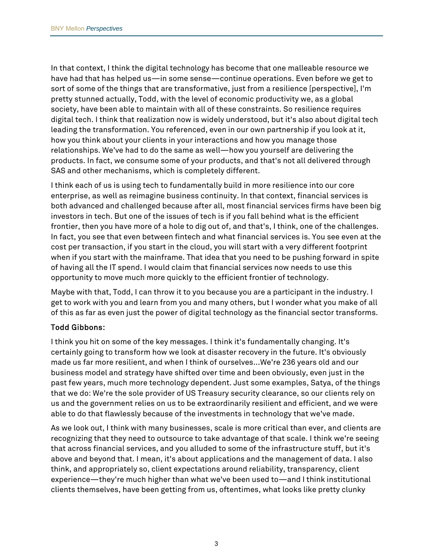In that context, I think the digital technology has become that one malleable resource we have had that has helped us—in some sense—continue operations. Even before we get to sort of some of the things that are transformative, just from a resilience [perspective], I'm pretty stunned actually, Todd, with the level of economic productivity we, as a global society, have been able to maintain with all of these constraints. So resilience requires digital tech. I think that realization now is widely understood, but it's also about digital tech leading the transformation. You referenced, even in our own partnership if you look at it, how you think about your clients in your interactions and how you manage those relationships. We've had to do the same as well—how you yourself are delivering the products. In fact, we consume some of your products, and that's not all delivered through SAS and other mechanisms, which is completely different.

 of having all the IT spend. I would claim that financial services now needs to use this I think each of us is using tech to fundamentally build in more resilience into our core enterprise, as well as reimagine business continuity. In that context, financial services is both advanced and challenged because after all, most financial services firms have been big investors in tech. But one of the issues of tech is if you fall behind what is the efficient frontier, then you have more of a hole to dig out of, and that's, I think, one of the challenges. In fact, you see that even between fintech and what financial services is. You see even at the cost per transaction, if you start in the cloud, you will start with a very different footprint when if you start with the mainframe. That idea that you need to be pushing forward in spite opportunity to move much more quickly to the efficient frontier of technology.

Maybe with that, Todd, I can throw it to you because you are a participant in the industry. I get to work with you and learn from you and many others, but I wonder what you make of all of this as far as even just the power of digital technology as the financial sector transforms.

# Todd Gibbons:

I think you hit on some of the key messages. I think it's fundamentally changing. It's certainly going to transform how we look at disaster recovery in the future. It's obviously made us far more resilient, and when I think of ourselves...We're 236 years old and our business model and strategy have shifted over time and been obviously, even just in the past few years, much more technology dependent. Just some examples, Satya, of the things that we do: We're the sole provider of US Treasury security clearance, so our clients rely on us and the government relies on us to be extraordinarily resilient and efficient, and we were able to do that flawlessly because of the investments in technology that we've made.

As we look out, I think with many businesses, scale is more critical than ever, and clients are recognizing that they need to outsource to take advantage of that scale. I think we're seeing that across financial services, and you alluded to some of the infrastructure stuff, but it's above and beyond that. I mean, it's about applications and the management of data. I also think, and appropriately so, client expectations around reliability, transparency, client experience—they're much higher than what we've been used to—and I think institutional clients themselves, have been getting from us, oftentimes, what looks like pretty clunky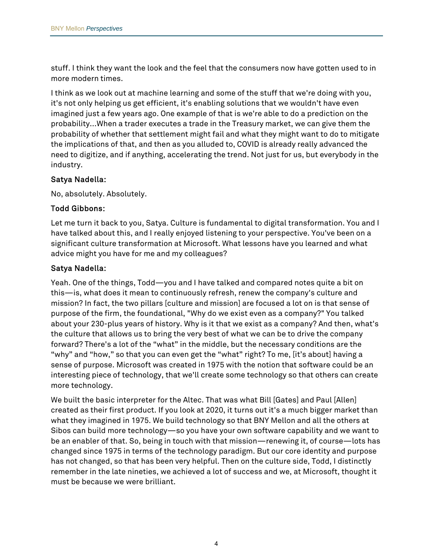stuff. I think they want the look and the feel that the consumers now have gotten used to in more modern times.

I think as we look out at machine learning and some of the stuff that we're doing with you, it's not only helping us get efficient, it's enabling solutions that we wouldn't have even imagined just a few years ago. One example of that is we're able to do a prediction on the probability...When a trader executes a trade in the Treasury market, we can give them the probability of whether that settlement might fail and what they might want to do to mitigate the implications of that, and then as you alluded to, COVID is already really advanced the need to digitize, and if anything, accelerating the trend. Not just for us, but everybody in the industry.

### Satya Nadella:

No, absolutely. Absolutely.

#### Todd Gibbons:

 significant culture transformation at Microsoft. What lessons have you learned and what Let me turn it back to you, Satya. Culture is fundamental to digital transformation. You and I have talked about this, and I really enjoyed listening to your perspective. You've been on a advice might you have for me and my colleagues?

### Satya Nadella:

 interesting piece of technology, that we'll create some technology so that others can create Yeah. One of the things, Todd—you and I have talked and compared notes quite a bit on this—is, what does it mean to continuously refresh, renew the company's culture and mission? In fact, the two pillars [culture and mission] are focused a lot on is that sense of purpose of the firm, the foundational, "Why do we exist even as a company?" You talked about your 230-plus years of history. Why is it that we exist as a company? And then, what's the culture that allows us to bring the very best of what we can be to drive the company forward? There's a lot of the "what" in the middle, but the necessary conditions are the "why" and "how," so that you can even get the "what" right? To me, [it's about] having a sense of purpose. Microsoft was created in 1975 with the notion that software could be an more technology.

 created as their first product. If you look at 2020, it turns out it's a much bigger market than We built the basic interpreter for the Altec. That was what Bill [Gates] and Paul [Allen] what they imagined in 1975. We build technology so that BNY Mellon and all the others at Sibos can build more technology—so you have your own software capability and we want to be an enabler of that. So, being in touch with that mission—renewing it, of course—lots has changed since 1975 in terms of the technology paradigm. But our core identity and purpose has not changed, so that has been very helpful. Then on the culture side, Todd, I distinctly remember in the late nineties, we achieved a lot of success and we, at Microsoft, thought it must be because we were brilliant.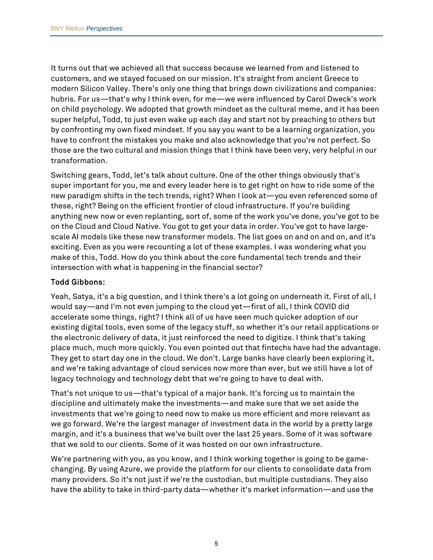It turns out that we achieved all that success because we learned from and listened to customers, and we stayed focused on our mission. It's straight from ancient Greece to modern Silicon Valley. There's only one thing that brings down civilizations and companies: hubris. For us—that's why I think even, for me—we were influenced by Carol Dweck's work on child psychology. We adopted that growth mindset as the cultural meme, and it has been super helpful, Todd, to just even wake up each day and start not by preaching to others but by confronting my own fixed mindset. If you say you want to be a learning organization, you have to confront the mistakes you make and also acknowledge that you're not perfect. So those are the two cultural and mission things that I think have been very, very helpful in our transformation.

Switching gears, Todd, let's talk about culture. One of the other things obviously that's super important for you, me and every leader here is to get right on how to ride some of the new paradigm shifts in the tech trends, right? When I look at—you even referenced some of these, right? Being on the efficient frontier of cloud infrastructure. If you're building anything new now or even replanting, sort of, some of the work you've done, you've got to be on the Cloud and Cloud Native. You got to get your data in order. You've got to have largescale AI models like these new transformer models. The list goes on and on and on, and it's exciting. Even as you were recounting a lot of these examples. I was wondering what you make of this, Todd. How do you think about the core fundamental tech trends and their intersection with what is happening in the financial sector?

#### Todd Gibbons:

Yeah, Satya, it's a big question, and I think there's a lot going on underneath it. First of all, I would say—and I'm not even jumping to the cloud yet—first of all, I think COVID did accelerate some things, right? I think all of us have seen much quicker adoption of our existing digital tools, even some of the legacy stuff, so whether it's our retail applications or the electronic delivery of data, it just reinforced the need to digitize. I think that's taking place much, much more quickly. You even pointed out that fintechs have had the advantage. They get to start day one in the cloud. We don't. Large banks have clearly been exploring it, and we're taking advantage of cloud services now more than ever, but we still have a lot of legacy technology and technology debt that we're going to have to deal with.

 that we sold to our clients. Some of it was hosted on our own infrastructure. That's not unique to us—that's typical of a major bank. It's forcing us to maintain the discipline and ultimately make the investments—and make sure that we set aside the investments that we're going to need now to make us more efficient and more relevant as we go forward. We're the largest manager of investment data in the world by a pretty large margin, and it's a business that we've built over the last 25 years. Some of it was software

We're partnering with you, as you know, and I think working together is going to be gamechanging. By using Azure, we provide the platform for our clients to consolidate data from many providers. So it's not just if we're the custodian, but multiple custodians. They also have the ability to take in third-party data—whether it's market information—and use the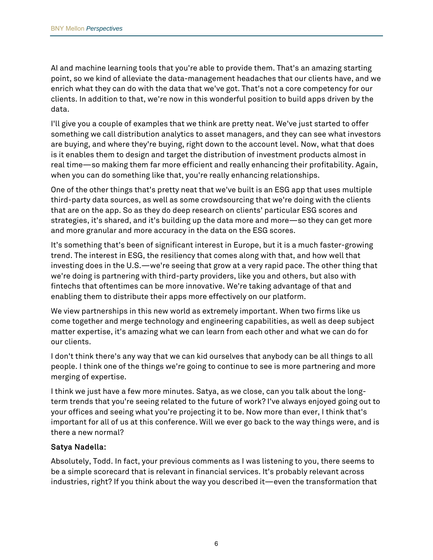AI and machine learning tools that you're able to provide them. That's an amazing starting point, so we kind of alleviate the data-management headaches that our clients have, and we enrich what they can do with the data that we've got. That's not a core competency for our clients. In addition to that, we're now in this wonderful position to build apps driven by the data.

 something we call distribution analytics to asset managers, and they can see what investors I'll give you a couple of examples that we think are pretty neat. We've just started to offer are buying, and where they're buying, right down to the account level. Now, what that does is it enables them to design and target the distribution of investment products almost in real time—so making them far more efficient and really enhancing their profitability. Again, when you can do something like that, you're really enhancing relationships.

 that are on the app. So as they do deep research on clients' particular ESG scores and One of the other things that's pretty neat that we've built is an ESG app that uses multiple third-party data sources, as well as some crowdsourcing that we're doing with the clients strategies, it's shared, and it's building up the data more and more—so they can get more and more granular and more accuracy in the data on the ESG scores.

 fintechs that oftentimes can be more innovative. We're taking advantage of that and It's something that's been of significant interest in Europe, but it is a much faster-growing trend. The interest in ESG, the resiliency that comes along with that, and how well that investing does in the U.S.—we're seeing that grow at a very rapid pace. The other thing that we're doing is partnering with third-party providers, like you and others, but also with enabling them to distribute their apps more effectively on our platform.

 matter expertise, it's amazing what we can learn from each other and what we can do for We view partnerships in this new world as extremely important. When two firms like us come together and merge technology and engineering capabilities, as well as deep subject our clients.

I don't think there's any way that we can kid ourselves that anybody can be all things to all people. I think one of the things we're going to continue to see is more partnering and more merging of expertise.

I think we just have a few more minutes. Satya, as we close, can you talk about the longterm trends that you're seeing related to the future of work? I've always enjoyed going out to your offices and seeing what you're projecting it to be. Now more than ever, I think that's important for all of us at this conference. Will we ever go back to the way things were, and is there a new normal?

# Satya Nadella:

Absolutely, Todd. In fact, your previous comments as I was listening to you, there seems to be a simple scorecard that is relevant in financial services. It's probably relevant across industries, right? If you think about the way you described it—even the transformation that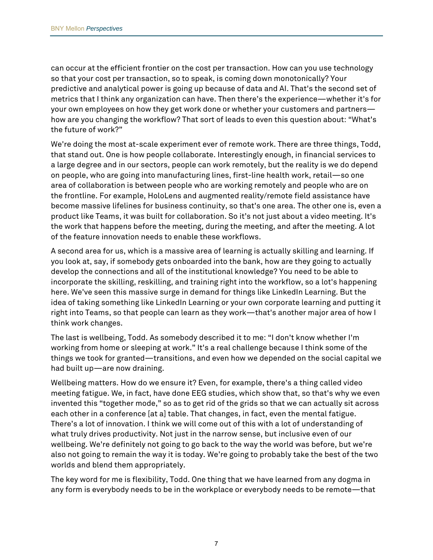your own employees on how they get work done or whether your customers and partners can occur at the efficient frontier on the cost per transaction. How can you use technology so that your cost per transaction, so to speak, is coming down monotonically? Your predictive and analytical power is going up because of data and AI. That's the second set of metrics that I think any organization can have. Then there's the experience—whether it's for how are you changing the workflow? That sort of leads to even this question about: "What's the future of work?"

We're doing the most at-scale experiment ever of remote work. There are three things, Todd, that stand out. One is how people collaborate. Interestingly enough, in financial services to a large degree and in our sectors, people can work remotely, but the reality is we do depend on people, who are going into manufacturing lines, first-line health work, retail—so one area of collaboration is between people who are working remotely and people who are on the frontline. For example, HoloLens and augmented reality/remote field assistance have become massive lifelines for business continuity, so that's one area. The other one is, even a product like Teams, it was built for collaboration. So it's not just about a video meeting. It's the work that happens before the meeting, during the meeting, and after the meeting. A lot of the feature innovation needs to enable these workflows.

A second area for us, which is a massive area of learning is actually skilling and learning. If you look at, say, if somebody gets onboarded into the bank, how are they going to actually develop the connections and all of the institutional knowledge? You need to be able to incorporate the skilling, reskilling, and training right into the workflow, so a lot's happening here. We've seen this massive surge in demand for things like LinkedIn Learning. But the idea of taking something like LinkedIn Learning or your own corporate learning and putting it right into Teams, so that people can learn as they work—that's another major area of how I think work changes.

 working from home or sleeping at work." It's a real challenge because I think some of the The last is wellbeing, Todd. As somebody described it to me: "I don't know whether I'm things we took for granted—transitions, and even how we depended on the social capital we had built up—are now draining.

 also not going to remain the way it is today. We're going to probably take the best of the two Wellbeing matters. How do we ensure it? Even, for example, there's a thing called video meeting fatigue. We, in fact, have done EEG studies, which show that, so that's why we even invented this "together mode," so as to get rid of the grids so that we can actually sit across each other in a conference [at a] table. That changes, in fact, even the mental fatigue. There's a lot of innovation. I think we will come out of this with a lot of understanding of what truly drives productivity. Not just in the narrow sense, but inclusive even of our wellbeing. We're definitely not going to go back to the way the world was before, but we're worlds and blend them appropriately.

The key word for me is flexibility, Todd. One thing that we have learned from any dogma in any form is everybody needs to be in the workplace or everybody needs to be remote—that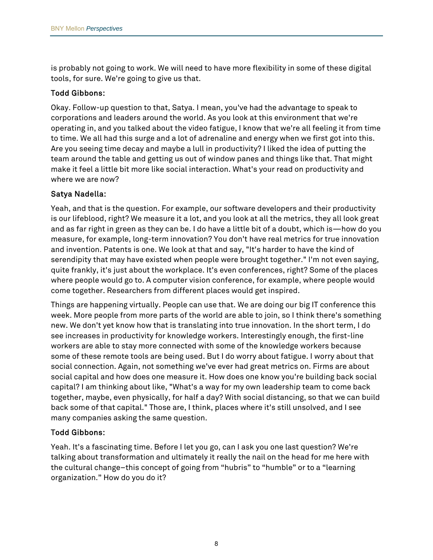is probably not going to work. We will need to have more flexibility in some of these digital tools, for sure. We're going to give us that.

### Todd Gibbons:

Okay. Follow-up question to that, Satya. I mean, you've had the advantage to speak to corporations and leaders around the world. As you look at this environment that we're operating in, and you talked about the video fatigue, I know that we're all feeling it from time to time. We all had this surge and a lot of adrenaline and energy when we first got into this. Are you seeing time decay and maybe a lull in productivity? I liked the idea of putting the team around the table and getting us out of window panes and things like that. That might make it feel a little bit more like social interaction. What's your read on productivity and where we are now?

#### Satya Nadella:

 and invention. Patents is one. We look at that and say, "It's harder to have the kind of Yeah, and that is the question. For example, our software developers and their productivity is our lifeblood, right? We measure it a lot, and you look at all the metrics, they all look great and as far right in green as they can be. I do have a little bit of a doubt, which is—how do you measure, for example, long-term innovation? You don't have real metrics for true innovation serendipity that may have existed when people were brought together." I'm not even saying, quite frankly, it's just about the workplace. It's even conferences, right? Some of the places where people would go to. A computer vision conference, for example, where people would come together. Researchers from different places would get inspired.

Things are happening virtually. People can use that. We are doing our big IT conference this week. More people from more parts of the world are able to join, so I think there's something new. We don't yet know how that is translating into true innovation. In the short term, I do see increases in productivity for knowledge workers. Interestingly enough, the first-line workers are able to stay more connected with some of the knowledge workers because some of these remote tools are being used. But I do worry about fatigue. I worry about that social connection. Again, not something we've ever had great metrics on. Firms are about social capital and how does one measure it. How does one know you're building back social capital? I am thinking about like, "What's a way for my own leadership team to come back together, maybe, even physically, for half a day? With social distancing, so that we can build back some of that capital." Those are, I think, places where it's still unsolved, and I see many companies asking the same question.

# Todd Gibbons:

Yeah. It's a fascinating time. Before I let you go, can I ask you one last question? We're talking about transformation and ultimately it really the nail on the head for me here with the cultural change–this concept of going from "hubris" to "humble" or to a "learning organization." How do you do it?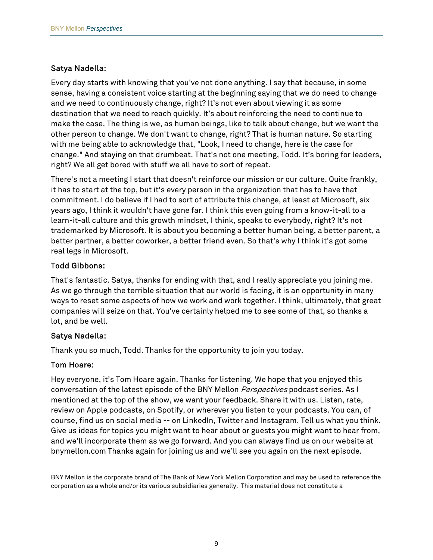#### Satya Nadella:

Every day starts with knowing that you've not done anything. I say that because, in some sense, having a consistent voice starting at the beginning saying that we do need to change and we need to continuously change, right? It's not even about viewing it as some destination that we need to reach quickly. It's about reinforcing the need to continue to make the case. The thing is we, as human beings, like to talk about change, but we want the other person to change. We don't want to change, right? That is human nature. So starting with me being able to acknowledge that, "Look, I need to change, here is the case for change." And staying on that drumbeat. That's not one meeting, Todd. It's boring for leaders, right? We all get bored with stuff we all have to sort of repeat.

There's not a meeting I start that doesn't reinforce our mission or our culture. Quite frankly, it has to start at the top, but it's every person in the organization that has to have that commitment. I do believe if I had to sort of attribute this change, at least at Microsoft, six years ago, I think it wouldn't have gone far. I think this even going from a know-it-all to a learn-it-all culture and this growth mindset, I think, speaks to everybody, right? It's not trademarked by Microsoft. It is about you becoming a better human being, a better parent, a better partner, a better coworker, a better friend even. So that's why I think it's got some real legs in Microsoft.

#### Todd Gibbons:

That's fantastic. Satya, thanks for ending with that, and I really appreciate you joining me. As we go through the terrible situation that our world is facing, it is an opportunity in many ways to reset some aspects of how we work and work together. I think, ultimately, that great companies will seize on that. You've certainly helped me to see some of that, so thanks a lot, and be well.

#### Satya Nadella:

Thank you so much, Todd. Thanks for the opportunity to join you today.

#### Tom Hoare:

Hey everyone, it's Tom Hoare again. Thanks for listening. We hope that you enjoyed this conversation of the latest episode of the BNY Mellon *Perspectives* podcast series. As I mentioned at the top of the show, we want your feedback. Share it with us. Listen, rate, review on Apple podcasts, on Spotify, or wherever you listen to your podcasts. You can, of course, find us on social media -- on LinkedIn, Twitter and Instagram. Tell us what you think. Give us ideas for topics you might want to hear about or guests you might want to hear from, and we'll incorporate them as we go forward. And you can always find us on our website at bnymellon.com Thanks again for joining us and we'll see you again on the next episode.

BNY Mellon is the corporate brand of The Bank of New York Mellon Corporation and may be used to reference the corporation as a whole and/or its various subsidiaries generally. This material does not constitute a